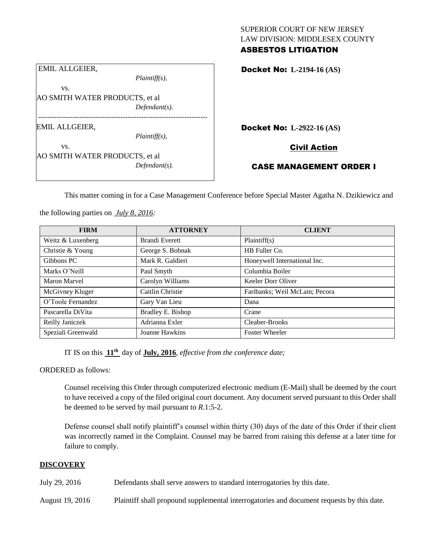# SUPERIOR COURT OF NEW JERSEY LAW DIVISION: MIDDLESEX COUNTY

### ASBESTOS LITIGATION

Docket No: **L-2194-16 (AS)** 

Docket No: **L-2922-16 (AS)** 

Civil Action

CASE MANAGEMENT ORDER I

This matter coming in for a Case Management Conference before Special Master Agatha N. Dzikiewicz and

the following parties on *July 8, 2016:*

AO SMITH WATER PRODUCTS, et al

AO SMITH WATER PRODUCTS, et al

--------------------------------------------------------------------------

EMIL ALLGEIER,

vs.

EMIL ALLGEIER,

vs.

| <b>FIRM</b>        | <b>ATTORNEY</b>       | <b>CLIENT</b>                  |  |  |
|--------------------|-----------------------|--------------------------------|--|--|
| Weitz & Luxenberg  | <b>Brandi Everett</b> | Plaintiff(s)                   |  |  |
| Christie & Young   | George S. Bobnak      | HB Fuller Co.                  |  |  |
| Gibbons PC         | Mark R. Galdieri      | Honeywell International Inc.   |  |  |
| Marks O'Neill      | Paul Smyth            | Columbia Boiler                |  |  |
| Maron Marvel       | Carolyn Williams      | Keeler Dorr Oliver             |  |  |
| McGivney Kluger    | Caitlin Christie      | Faribanks; Weil McLain; Pecora |  |  |
| O'Toole Fernandez  | Gary Van Lieu         | Dana                           |  |  |
| Pascarella DiVita  | Bradley E. Bishop     | Crane                          |  |  |
| Reilly Janiczek    | Adrianna Exler        | Cleaber-Brooks                 |  |  |
| Speziali Greenwald | Joanne Hawkins        | <b>Foster Wheeler</b>          |  |  |

IT IS on this **11th** day of **July, 2016**, *effective from the conference date;*

*Plaintiff(s),*

*Defendant(s).*

*Plaintiff(s),*

*Defendant(s).*

ORDERED as follows:

Counsel receiving this Order through computerized electronic medium (E-Mail) shall be deemed by the court to have received a copy of the filed original court document. Any document served pursuant to this Order shall be deemed to be served by mail pursuant to *R*.1:5-2.

Defense counsel shall notify plaintiff's counsel within thirty (30) days of the date of this Order if their client was incorrectly named in the Complaint. Counsel may be barred from raising this defense at a later time for failure to comply.

## **DISCOVERY**

July 29, 2016 Defendants shall serve answers to standard interrogatories by this date.

August 19, 2016 Plaintiff shall propound supplemental interrogatories and document requests by this date.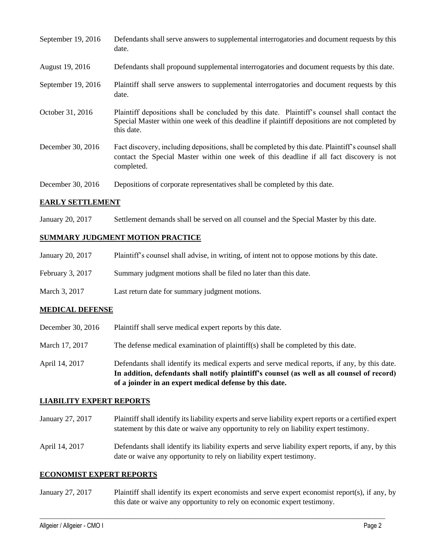| September 19, 2016 | Defendants shall serve answers to supplemental interrogatories and document requests by this<br>date.                                                                                                       |
|--------------------|-------------------------------------------------------------------------------------------------------------------------------------------------------------------------------------------------------------|
| August 19, 2016    | Defendants shall propound supplemental interrogatories and document requests by this date.                                                                                                                  |
| September 19, 2016 | Plaintiff shall serve answers to supplemental interrogatories and document requests by this<br>date.                                                                                                        |
| October 31, 2016   | Plaintiff depositions shall be concluded by this date. Plaintiff's counsel shall contact the<br>Special Master within one week of this deadline if plaintiff depositions are not completed by<br>this date. |
| December 30, 2016  | Fact discovery, including depositions, shall be completed by this date. Plaintiff's counsel shall<br>contact the Special Master within one week of this deadline if all fact discovery is not<br>completed. |
| December 30, 2016  | Depositions of corporate representatives shall be completed by this date.                                                                                                                                   |

#### **EARLY SETTLEMENT**

January 20, 2017 Settlement demands shall be served on all counsel and the Special Master by this date.

#### **SUMMARY JUDGMENT MOTION PRACTICE**

| January 20, 2017 | Plaintiff's counsel shall advise, in writing, of intent not to oppose motions by this date. |  |  |
|------------------|---------------------------------------------------------------------------------------------|--|--|
|                  |                                                                                             |  |  |

- February 3, 2017 Summary judgment motions shall be filed no later than this date.
- March 3, 2017 Last return date for summary judgment motions.

#### **MEDICAL DEFENSE**

- December 30, 2016 Plaintiff shall serve medical expert reports by this date.
- March 17, 2017 The defense medical examination of plaintiff(s) shall be completed by this date.
- April 14, 2017 Defendants shall identify its medical experts and serve medical reports, if any, by this date. **In addition, defendants shall notify plaintiff's counsel (as well as all counsel of record) of a joinder in an expert medical defense by this date.**

#### **LIABILITY EXPERT REPORTS**

- January 27, 2017 Plaintiff shall identify its liability experts and serve liability expert reports or a certified expert statement by this date or waive any opportunity to rely on liability expert testimony.
- April 14, 2017 Defendants shall identify its liability experts and serve liability expert reports, if any, by this date or waive any opportunity to rely on liability expert testimony.

#### **ECONOMIST EXPERT REPORTS**

January 27, 2017 Plaintiff shall identify its expert economists and serve expert economist report(s), if any, by this date or waive any opportunity to rely on economic expert testimony.

 $\_$  , and the set of the set of the set of the set of the set of the set of the set of the set of the set of the set of the set of the set of the set of the set of the set of the set of the set of the set of the set of th